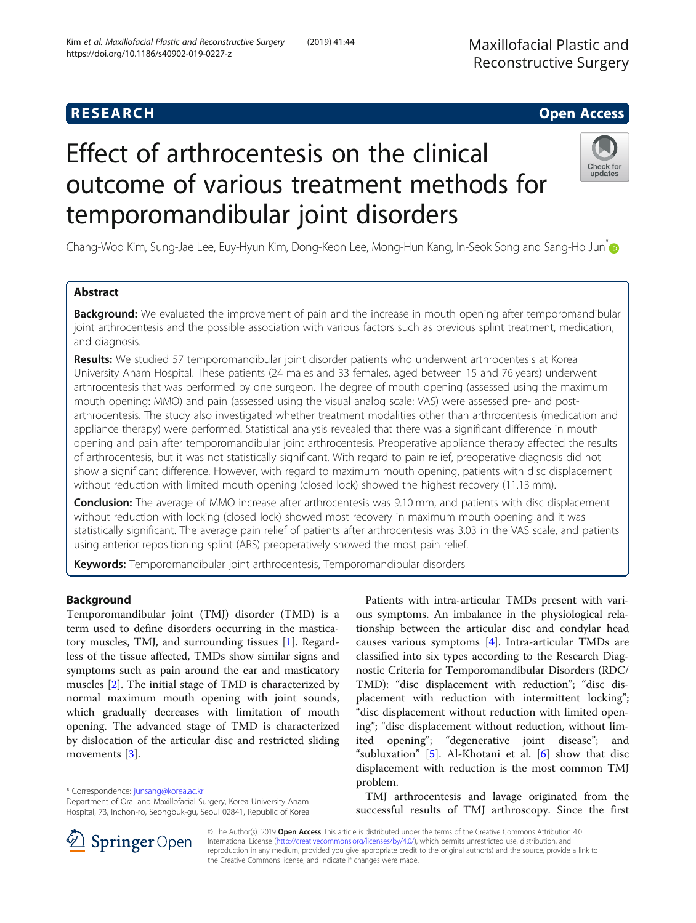## **RESEARCH CHE Open Access**

# Effect of arthrocentesis on the clinical outcome of various treatment methods for temporomandibular joint disorders

Chang-Woo Kim, Sung-Jae Lee, Euy-Hyun Kim, Dong-Keon Lee, Mong-Hun Kang, In-Seok Song and Sang-Ho Jun<sup>[\\*](http://orcid.org/0000-0002-4243-788X)</sup>

## Abstract

**Background:** We evaluated the improvement of pain and the increase in mouth opening after temporomandibular joint arthrocentesis and the possible association with various factors such as previous splint treatment, medication, and diagnosis.

Results: We studied 57 temporomandibular joint disorder patients who underwent arthrocentesis at Korea University Anam Hospital. These patients (24 males and 33 females, aged between 15 and 76 years) underwent arthrocentesis that was performed by one surgeon. The degree of mouth opening (assessed using the maximum mouth opening: MMO) and pain (assessed using the visual analog scale: VAS) were assessed pre- and postarthrocentesis. The study also investigated whether treatment modalities other than arthrocentesis (medication and appliance therapy) were performed. Statistical analysis revealed that there was a significant difference in mouth opening and pain after temporomandibular joint arthrocentesis. Preoperative appliance therapy affected the results of arthrocentesis, but it was not statistically significant. With regard to pain relief, preoperative diagnosis did not show a significant difference. However, with regard to maximum mouth opening, patients with disc displacement without reduction with limited mouth opening (closed lock) showed the highest recovery (11.13 mm).

Conclusion: The average of MMO increase after arthrocentesis was 9.10 mm, and patients with disc displacement without reduction with locking (closed lock) showed most recovery in maximum mouth opening and it was statistically significant. The average pain relief of patients after arthrocentesis was 3.03 in the VAS scale, and patients using anterior repositioning splint (ARS) preoperatively showed the most pain relief.

Keywords: Temporomandibular joint arthrocentesis, Temporomandibular disorders

## Background

Temporomandibular joint (TMJ) disorder (TMD) is a term used to define disorders occurring in the masticatory muscles, TMJ, and surrounding tissues [[1\]](#page-5-0). Regardless of the tissue affected, TMDs show similar signs and symptoms such as pain around the ear and masticatory muscles [\[2](#page-5-0)]. The initial stage of TMD is characterized by normal maximum mouth opening with joint sounds, which gradually decreases with limitation of mouth opening. The advanced stage of TMD is characterized by dislocation of the articular disc and restricted sliding movements [[3\]](#page-5-0).

\* Correspondence: [junsang@korea.ac.kr](mailto:junsang@korea.ac.kr)

Department of Oral and Maxillofacial Surgery, Korea University Anam Hospital, 73, Inchon-ro, Seongbuk-gu, Seoul 02841, Republic of Korea

problem. TMJ arthrocentesis and lavage originated from the successful results of TMJ arthroscopy. Since the first © The Author(s). 2019 Open Access This article is distributed under the terms of the Creative Commons Attribution 4.0

International License ([http://creativecommons.org/licenses/by/4.0/\)](http://creativecommons.org/licenses/by/4.0/), which permits unrestricted use, distribution, and reproduction in any medium, provided you give appropriate credit to the original author(s) and the source, provide a link to the Creative Commons license, and indicate if changes were made.

Patients with intra-articular TMDs present with various symptoms. An imbalance in the physiological relationship between the articular disc and condylar head causes various symptoms [\[4](#page-5-0)]. Intra-articular TMDs are classified into six types according to the Research Diagnostic Criteria for Temporomandibular Disorders (RDC/ TMD): "disc displacement with reduction"; "disc displacement with reduction with intermittent locking"; "disc displacement without reduction with limited opening"; "disc displacement without reduction, without limited opening"; "degenerative joint disease"; and "subluxation" [\[5](#page-5-0)]. Al-Khotani et al.  $[6]$  $[6]$  show that disc displacement with reduction is the most common TMJ



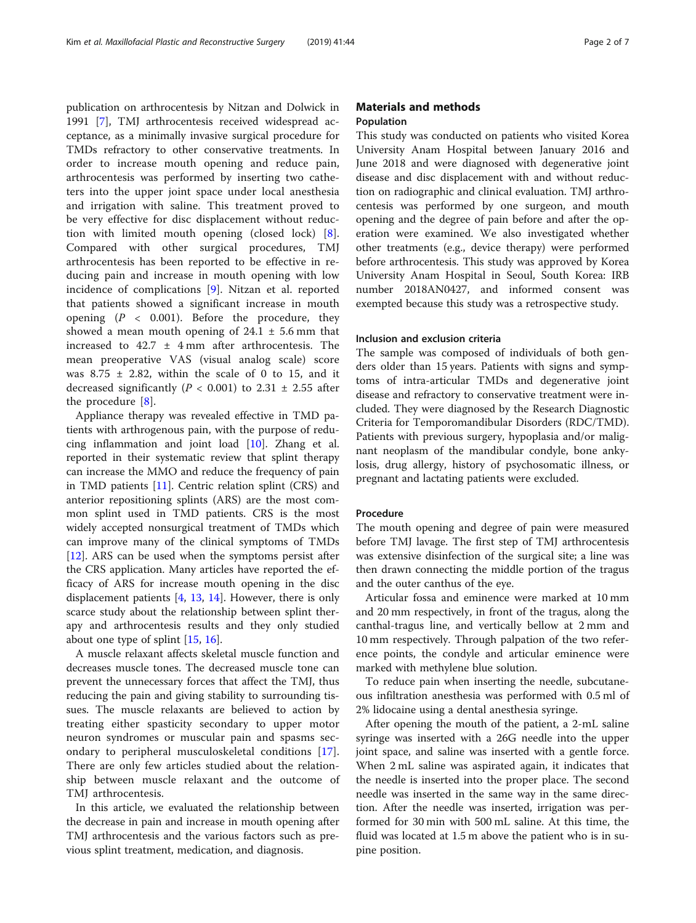publication on arthrocentesis by Nitzan and Dolwick in 1991 [\[7\]](#page-5-0), TMJ arthrocentesis received widespread acceptance, as a minimally invasive surgical procedure for TMDs refractory to other conservative treatments. In order to increase mouth opening and reduce pain, arthrocentesis was performed by inserting two catheters into the upper joint space under local anesthesia and irrigation with saline. This treatment proved to be very effective for disc displacement without reduction with limited mouth opening (closed lock) [\[8](#page-5-0)]. Compared with other surgical procedures, TMJ arthrocentesis has been reported to be effective in reducing pain and increase in mouth opening with low incidence of complications [\[9](#page-5-0)]. Nitzan et al. reported that patients showed a significant increase in mouth opening  $(P < 0.001)$ . Before the procedure, they showed a mean mouth opening of  $24.1 \pm 5.6$  mm that increased to  $42.7 \pm 4 \text{ mm}$  after arthrocentesis. The mean preoperative VAS (visual analog scale) score was  $8.75 \pm 2.82$ , within the scale of 0 to 15, and it decreased significantly ( $P < 0.001$ ) to 2.31  $\pm$  2.55 after the procedure [\[8](#page-5-0)].

Appliance therapy was revealed effective in TMD patients with arthrogenous pain, with the purpose of reducing inflammation and joint load [[10\]](#page-5-0). Zhang et al. reported in their systematic review that splint therapy can increase the MMO and reduce the frequency of pain in TMD patients [[11\]](#page-5-0). Centric relation splint (CRS) and anterior repositioning splints (ARS) are the most common splint used in TMD patients. CRS is the most widely accepted nonsurgical treatment of TMDs which can improve many of the clinical symptoms of TMDs [[12\]](#page-5-0). ARS can be used when the symptoms persist after the CRS application. Many articles have reported the efficacy of ARS for increase mouth opening in the disc displacement patients [[4](#page-5-0), [13,](#page-5-0) [14](#page-5-0)]. However, there is only scarce study about the relationship between splint therapy and arthrocentesis results and they only studied about one type of splint  $[15, 16]$  $[15, 16]$  $[15, 16]$  $[15, 16]$ .

A muscle relaxant affects skeletal muscle function and decreases muscle tones. The decreased muscle tone can prevent the unnecessary forces that affect the TMJ, thus reducing the pain and giving stability to surrounding tissues. The muscle relaxants are believed to action by treating either spasticity secondary to upper motor neuron syndromes or muscular pain and spasms secondary to peripheral musculoskeletal conditions [\[17](#page-5-0)]. There are only few articles studied about the relationship between muscle relaxant and the outcome of TMJ arthrocentesis.

In this article, we evaluated the relationship between the decrease in pain and increase in mouth opening after TMJ arthrocentesis and the various factors such as previous splint treatment, medication, and diagnosis.

## Materials and methods Population

This study was conducted on patients who visited Korea University Anam Hospital between January 2016 and June 2018 and were diagnosed with degenerative joint disease and disc displacement with and without reduction on radiographic and clinical evaluation. TMJ arthrocentesis was performed by one surgeon, and mouth opening and the degree of pain before and after the operation were examined. We also investigated whether other treatments (e.g., device therapy) were performed before arthrocentesis. This study was approved by Korea University Anam Hospital in Seoul, South Korea: IRB number 2018AN0427, and informed consent was exempted because this study was a retrospective study.

#### Inclusion and exclusion criteria

The sample was composed of individuals of both genders older than 15 years. Patients with signs and symptoms of intra-articular TMDs and degenerative joint disease and refractory to conservative treatment were included. They were diagnosed by the Research Diagnostic Criteria for Temporomandibular Disorders (RDC/TMD). Patients with previous surgery, hypoplasia and/or malignant neoplasm of the mandibular condyle, bone ankylosis, drug allergy, history of psychosomatic illness, or pregnant and lactating patients were excluded.

#### Procedure

The mouth opening and degree of pain were measured before TMJ lavage. The first step of TMJ arthrocentesis was extensive disinfection of the surgical site; a line was then drawn connecting the middle portion of the tragus and the outer canthus of the eye.

Articular fossa and eminence were marked at 10 mm and 20 mm respectively, in front of the tragus, along the canthal-tragus line, and vertically bellow at 2 mm and 10 mm respectively. Through palpation of the two reference points, the condyle and articular eminence were marked with methylene blue solution.

To reduce pain when inserting the needle, subcutaneous infiltration anesthesia was performed with 0.5 ml of 2% lidocaine using a dental anesthesia syringe.

After opening the mouth of the patient, a 2-mL saline syringe was inserted with a 26G needle into the upper joint space, and saline was inserted with a gentle force. When 2 mL saline was aspirated again, it indicates that the needle is inserted into the proper place. The second needle was inserted in the same way in the same direction. After the needle was inserted, irrigation was performed for 30 min with 500 mL saline. At this time, the fluid was located at 1.5 m above the patient who is in supine position.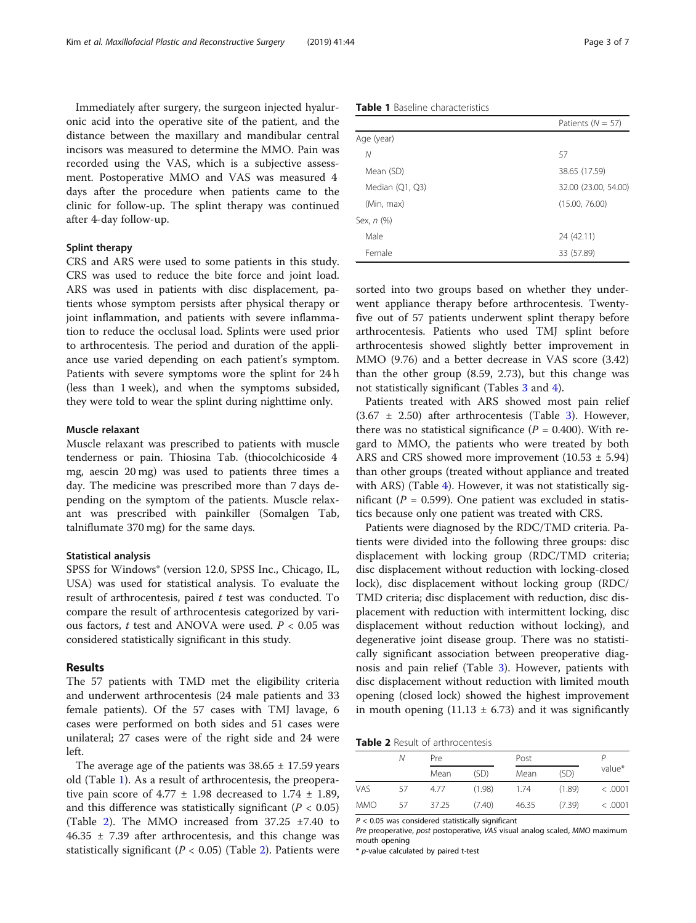Immediately after surgery, the surgeon injected hyaluronic acid into the operative site of the patient, and the distance between the maxillary and mandibular central incisors was measured to determine the MMO. Pain was recorded using the VAS, which is a subjective assessment. Postoperative MMO and VAS was measured 4 days after the procedure when patients came to the clinic for follow-up. The splint therapy was continued after 4-day follow-up.

#### Splint therapy

CRS and ARS were used to some patients in this study. CRS was used to reduce the bite force and joint load. ARS was used in patients with disc displacement, patients whose symptom persists after physical therapy or joint inflammation, and patients with severe inflammation to reduce the occlusal load. Splints were used prior to arthrocentesis. The period and duration of the appliance use varied depending on each patient's symptom. Patients with severe symptoms wore the splint for 24 h (less than 1 week), and when the symptoms subsided, they were told to wear the splint during nighttime only.

#### Muscle relaxant

Muscle relaxant was prescribed to patients with muscle tenderness or pain. Thiosina Tab. (thiocolchicoside 4 mg, aescin 20 mg) was used to patients three times a day. The medicine was prescribed more than 7 days depending on the symptom of the patients. Muscle relaxant was prescribed with painkiller (Somalgen Tab, talniflumate 370 mg) for the same days.

#### Statistical analysis

SPSS for Windows® (version 12.0, SPSS Inc., Chicago, IL, USA) was used for statistical analysis. To evaluate the result of arthrocentesis, paired  $t$  test was conducted. To compare the result of arthrocentesis categorized by various factors,  $t$  test and ANOVA were used.  $P < 0.05$  was considered statistically significant in this study.

#### Results

The 57 patients with TMD met the eligibility criteria and underwent arthrocentesis (24 male patients and 33 female patients). Of the 57 cases with TMJ lavage, 6 cases were performed on both sides and 51 cases were unilateral; 27 cases were of the right side and 24 were left.

The average age of the patients was  $38.65 \pm 17.59$  years old (Table 1). As a result of arthrocentesis, the preoperative pain score of 4.77  $\pm$  1.98 decreased to 1.74  $\pm$  1.89, and this difference was statistically significant ( $P < 0.05$ ) (Table 2). The MMO increased from  $37.25 \pm 7.40$  to  $46.35 \pm 7.39$  after arthrocentesis, and this change was statistically significant ( $P < 0.05$ ) (Table 2). Patients were

Table 1 Baseline characteristics

|                 | Patients ( $N = 57$ ) |
|-----------------|-----------------------|
| Age (year)      |                       |
| Ν               | 57                    |
| Mean (SD)       | 38.65 (17.59)         |
| Median (Q1, Q3) | 32.00 (23.00, 54.00)  |
| (Min, max)      | (15.00, 76.00)        |
| Sex, n (%)      |                       |
| Male            | 24 (42.11)            |
| Female          | 33 (57.89)            |

sorted into two groups based on whether they underwent appliance therapy before arthrocentesis. Twentyfive out of 57 patients underwent splint therapy before arthrocentesis. Patients who used TMJ splint before arthrocentesis showed slightly better improvement in MMO (9.76) and a better decrease in VAS score (3.42) than the other group (8.59, 2.73), but this change was not statistically significant (Tables [3](#page-3-0) and [4\)](#page-4-0).

Patients treated with ARS showed most pain relief  $(3.67 \pm 2.50)$  $(3.67 \pm 2.50)$  $(3.67 \pm 2.50)$  after arthrocentesis (Table 3). However, there was no statistical significance ( $P = 0.400$ ). With regard to MMO, the patients who were treated by both ARS and CRS showed more improvement  $(10.53 \pm 5.94)$ than other groups (treated without appliance and treated with ARS) (Table [4](#page-4-0)). However, it was not statistically significant ( $P = 0.599$ ). One patient was excluded in statistics because only one patient was treated with CRS.

Patients were diagnosed by the RDC/TMD criteria. Patients were divided into the following three groups: disc displacement with locking group (RDC/TMD criteria; disc displacement without reduction with locking-closed lock), disc displacement without locking group (RDC/ TMD criteria; disc displacement with reduction, disc displacement with reduction with intermittent locking, disc displacement without reduction without locking), and degenerative joint disease group. There was no statistically significant association between preoperative diagnosis and pain relief (Table [3](#page-3-0)). However, patients with disc displacement without reduction with limited mouth opening (closed lock) showed the highest improvement in mouth opening (11.13  $\pm$  6.73) and it was significantly

Table 2 Result of arthrocentesis

|            | Ν  | Pre   |        |       |        |         |  |
|------------|----|-------|--------|-------|--------|---------|--|
|            |    | Mean  | (SD)   | Mean  | (SD)   | value*  |  |
| <b>VAS</b> | 57 | 4.77  | (1.98) | 1.74  | (1.89) | < .0001 |  |
| <b>MMO</b> | 57 | 37.25 | (7.40) | 46.35 | (7.39) | < .0001 |  |

 $P < 0.05$  was considered statistically significant

Pre preoperative, post postoperative, VAS visual analog scaled, MMO maximum mouth opening

\* p-value calculated by paired t-test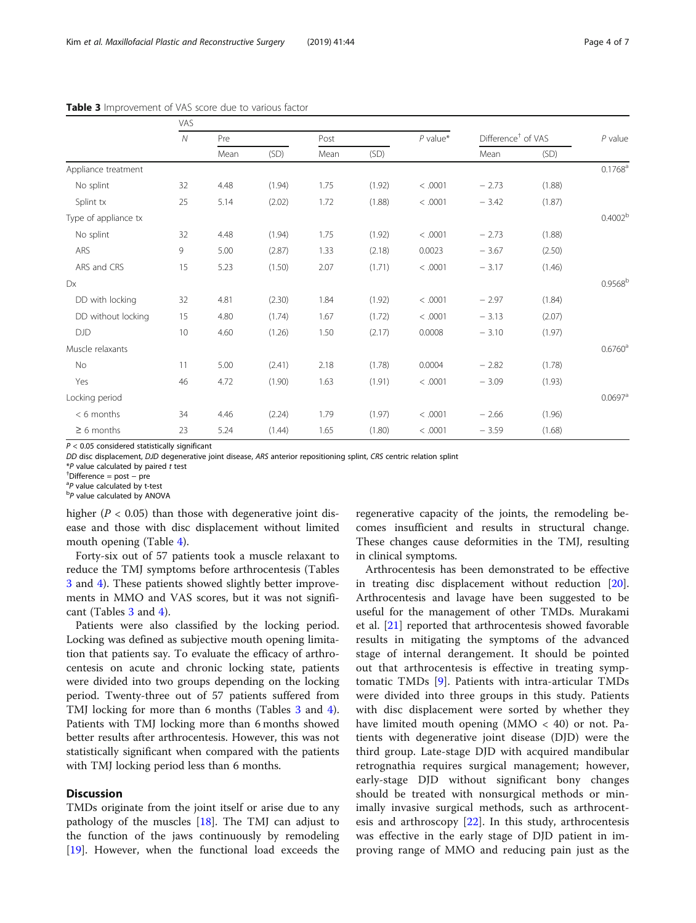<span id="page-3-0"></span>

|                      | <b>VAS</b>   |      |        |      |        |            |                                |        |                       |
|----------------------|--------------|------|--------|------|--------|------------|--------------------------------|--------|-----------------------|
|                      | $\mathcal N$ | Pre  |        | Post |        | $P$ value* | Difference <sup>†</sup> of VAS |        | $P$ value             |
|                      |              | Mean | (SD)   | Mean | (SD)   |            | Mean                           | (SD)   |                       |
| Appliance treatment  |              |      |        |      |        |            |                                |        | $0.1768$ <sup>a</sup> |
| No splint            | 32           | 4.48 | (1.94) | 1.75 | (1.92) | < .0001    | $-2.73$                        | (1.88) |                       |
| Splint tx            | 25           | 5.14 | (2.02) | 1.72 | (1.88) | < .0001    | $-3.42$                        | (1.87) |                       |
| Type of appliance tx |              |      |        |      |        |            |                                |        | 0.4002 <sup>b</sup>   |
| No splint            | 32           | 4.48 | (1.94) | 1.75 | (1.92) | < .0001    | $-2.73$                        | (1.88) |                       |
| ARS                  | 9            | 5.00 | (2.87) | 1.33 | (2.18) | 0.0023     | $-3.67$                        | (2.50) |                       |
| ARS and CRS          | 15           | 5.23 | (1.50) | 2.07 | (1.71) | < .0001    | $-3.17$                        | (1.46) |                       |
| Dx                   |              |      |        |      |        |            |                                |        | 0.9568 <sup>b</sup>   |
| DD with locking      | 32           | 4.81 | (2.30) | 1.84 | (1.92) | < .0001    | $-2.97$                        | (1.84) |                       |
| DD without locking   | 15           | 4.80 | (1.74) | 1.67 | (1.72) | < .0001    | $-3.13$                        | (2.07) |                       |
| <b>DJD</b>           | 10           | 4.60 | (1.26) | 1.50 | (2.17) | 0.0008     | $-3.10$                        | (1.97) |                       |
| Muscle relaxants     |              |      |        |      |        |            |                                |        | $0.6760$ <sup>a</sup> |

Table  $3<sup>1</sup>$ 

 $P < 0.05$  considered statistically significant

DD disc displacement, DJD degenerative joint disease, ARS anterior repositioning splint, CRS centric relation splint

No 11 5.00 (2.41) 2.18 (1.78) 0.0004 − 2.82 (1.78) Yes 46 4.72 (1.90) 1.63 (1.91) < .0001 − 3.09 (1.93)

< 6 months 34 4.46 (2.24) 1.79 (1.97) < .0001 − 2.66 (1.96) ≥ 6 months 23 5.24 (1.44) 1.65 (1.80) < .0001 − 3.59 (1.68)

 ${\sf Locking}$  period  $0.0697^8$ 

 $*P$  value calculated by paired  $t$  test

 $<sup>†</sup>$ Difference = post – pre</sup>

<sup>a</sup>P value calculated by t-test

 ${}^{b}P$  value calculated by ANOVA

higher ( $P < 0.05$ ) than those with degenerative joint disease and those with disc displacement without limited mouth opening (Table [4\)](#page-4-0).

Forty-six out of 57 patients took a muscle relaxant to reduce the TMJ symptoms before arthrocentesis (Tables 3 and [4](#page-4-0)). These patients showed slightly better improvements in MMO and VAS scores, but it was not significant (Tables 3 and [4\)](#page-4-0).

Patients were also classified by the locking period. Locking was defined as subjective mouth opening limitation that patients say. To evaluate the efficacy of arthrocentesis on acute and chronic locking state, patients were divided into two groups depending on the locking period. Twenty-three out of 57 patients suffered from TMJ locking for more than 6 months (Tables 3 and [4](#page-4-0)). Patients with TMJ locking more than 6 months showed better results after arthrocentesis. However, this was not statistically significant when compared with the patients with TMJ locking period less than 6 months.

## **Discussion**

TMDs originate from the joint itself or arise due to any pathology of the muscles [\[18\]](#page-5-0). The TMJ can adjust to the function of the jaws continuously by remodeling [[19\]](#page-5-0). However, when the functional load exceeds the

regenerative capacity of the joints, the remodeling becomes insufficient and results in structural change. These changes cause deformities in the TMJ, resulting in clinical symptoms.

Arthrocentesis has been demonstrated to be effective in treating disc displacement without reduction [\[20](#page-5-0)]. Arthrocentesis and lavage have been suggested to be useful for the management of other TMDs. Murakami et al. [[21\]](#page-5-0) reported that arthrocentesis showed favorable results in mitigating the symptoms of the advanced stage of internal derangement. It should be pointed out that arthrocentesis is effective in treating symptomatic TMDs [[9\]](#page-5-0). Patients with intra-articular TMDs were divided into three groups in this study. Patients with disc displacement were sorted by whether they have limited mouth opening (MMO < 40) or not. Patients with degenerative joint disease (DJD) were the third group. Late-stage DJD with acquired mandibular retrognathia requires surgical management; however, early-stage DJD without significant bony changes should be treated with nonsurgical methods or minimally invasive surgical methods, such as arthrocentesis and arthroscopy [[22\]](#page-6-0). In this study, arthrocentesis was effective in the early stage of DJD patient in improving range of MMO and reducing pain just as the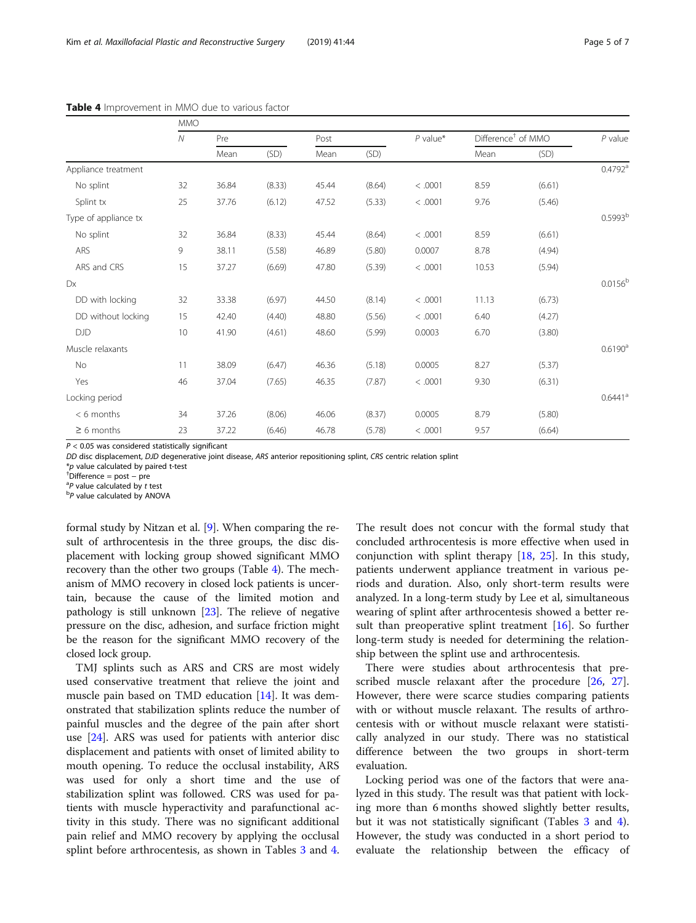|                      | <b>MMO</b>   |       |        |       |        |            |                                |        |                       |
|----------------------|--------------|-------|--------|-------|--------|------------|--------------------------------|--------|-----------------------|
|                      | $\mathcal N$ | Pre   |        | Post  |        | $P$ value* | Difference <sup>+</sup> of MMO |        | $P$ value             |
|                      |              | Mean  | (SD)   | Mean  | (SD)   |            | Mean                           | (SD)   |                       |
| Appliance treatment  |              |       |        |       |        |            |                                |        | $0.4792^{\text{a}}$   |
| No splint            | 32           | 36.84 | (8.33) | 45.44 | (8.64) | < .0001    | 8.59                           | (6.61) |                       |
| Splint tx            | 25           | 37.76 | (6.12) | 47.52 | (5.33) | < .0001    | 9.76                           | (5.46) |                       |
| Type of appliance tx |              |       |        |       |        |            |                                |        | 0.5993 <sup>b</sup>   |
| No splint            | 32           | 36.84 | (8.33) | 45.44 | (8.64) | < .0001    | 8.59                           | (6.61) |                       |
| ARS                  | 9            | 38.11 | (5.58) | 46.89 | (5.80) | 0.0007     | 8.78                           | (4.94) |                       |
| ARS and CRS          | 15           | 37.27 | (6.69) | 47.80 | (5.39) | < .0001    | 10.53                          | (5.94) |                       |
| Dx                   |              |       |        |       |        |            |                                |        | $0.0156^{b}$          |
| DD with locking      | 32           | 33.38 | (6.97) | 44.50 | (8.14) | < .0001    | 11.13                          | (6.73) |                       |
| DD without locking   | 15           | 42.40 | (4.40) | 48.80 | (5.56) | < .0001    | 6.40                           | (4.27) |                       |
| <b>DJD</b>           | 10           | 41.90 | (4.61) | 48.60 | (5.99) | 0.0003     | 6.70                           | (3.80) |                       |
| Muscle relaxants     |              |       |        |       |        |            |                                |        | 0.6190 <sup>a</sup>   |
| No                   | 11           | 38.09 | (6.47) | 46.36 | (5.18) | 0.0005     | 8.27                           | (5.37) |                       |
| Yes                  | 46           | 37.04 | (7.65) | 46.35 | (7.87) | < .0001    | 9.30                           | (6.31) |                       |
| Locking period       |              |       |        |       |        |            |                                |        | $0.6441$ <sup>a</sup> |
| $< 6$ months         | 34           | 37.26 | (8.06) | 46.06 | (8.37) | 0.0005     | 8.79                           | (5.80) |                       |

<span id="page-4-0"></span>Table 4 Improvement in MMO due to various factor

 $P < 0.05$  was considered statistically significant

DD disc displacement, DJD degenerative joint disease, ARS anterior repositioning splint, CRS centric relation splint

≥ 6 months 23 37.22 (6.46) 46.78 (5.78) < .0001 9.57 (6.64)

 $*p$  value calculated by paired t-test

 $\overline{P}$ Difference = post − pre

 ${}^{a}P$  value calculated by t test

 ${}^{b}P$  value calculated by ANOVA

formal study by Nitzan et al. [\[9](#page-5-0)]. When comparing the result of arthrocentesis in the three groups, the disc displacement with locking group showed significant MMO recovery than the other two groups (Table 4). The mechanism of MMO recovery in closed lock patients is uncertain, because the cause of the limited motion and pathology is still unknown [\[23\]](#page-6-0). The relieve of negative pressure on the disc, adhesion, and surface friction might be the reason for the significant MMO recovery of the closed lock group.

TMJ splints such as ARS and CRS are most widely used conservative treatment that relieve the joint and muscle pain based on TMD education [\[14](#page-5-0)]. It was demonstrated that stabilization splints reduce the number of painful muscles and the degree of the pain after short use [[24\]](#page-6-0). ARS was used for patients with anterior disc displacement and patients with onset of limited ability to mouth opening. To reduce the occlusal instability, ARS was used for only a short time and the use of stabilization splint was followed. CRS was used for patients with muscle hyperactivity and parafunctional activity in this study. There was no significant additional pain relief and MMO recovery by applying the occlusal splint before arthrocentesis, as shown in Tables [3](#page-3-0) and 4.

The result does not concur with the formal study that concluded arthrocentesis is more effective when used in conjunction with splint therapy  $[18, 25]$  $[18, 25]$  $[18, 25]$  $[18, 25]$  $[18, 25]$ . In this study, patients underwent appliance treatment in various periods and duration. Also, only short-term results were analyzed. In a long-term study by Lee et al, simultaneous wearing of splint after arthrocentesis showed a better result than preoperative splint treatment  $[16]$  $[16]$ . So further long-term study is needed for determining the relationship between the splint use and arthrocentesis.

There were studies about arthrocentesis that pre-scribed muscle relaxant after the procedure [[26,](#page-6-0) [27](#page-6-0)]. However, there were scarce studies comparing patients with or without muscle relaxant. The results of arthrocentesis with or without muscle relaxant were statistically analyzed in our study. There was no statistical difference between the two groups in short-term evaluation.

Locking period was one of the factors that were analyzed in this study. The result was that patient with locking more than 6 months showed slightly better results, but it was not statistically significant (Tables [3](#page-3-0) and 4). However, the study was conducted in a short period to evaluate the relationship between the efficacy of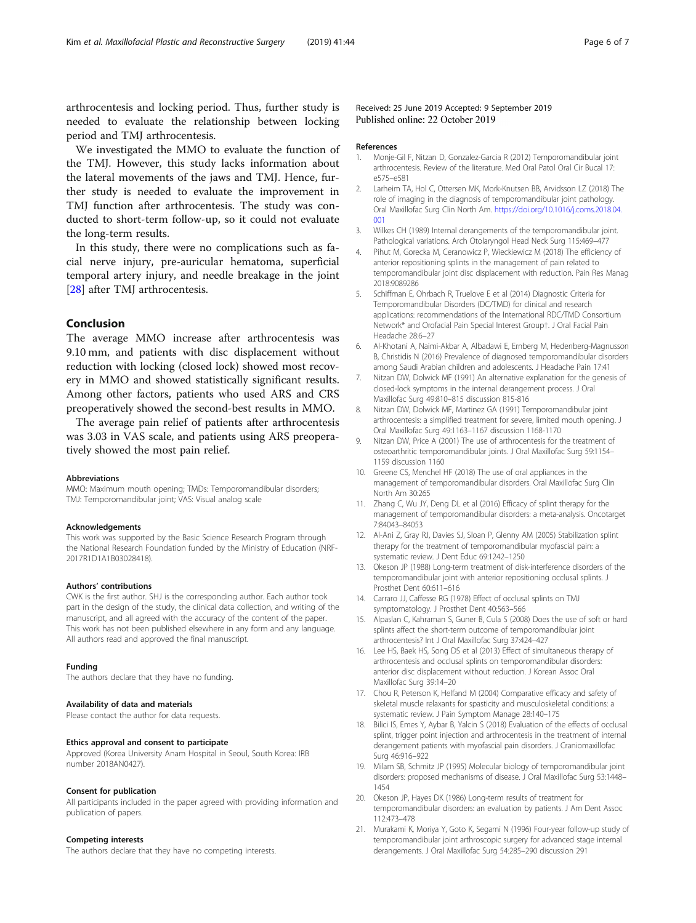<span id="page-5-0"></span>arthrocentesis and locking period. Thus, further study is needed to evaluate the relationship between locking period and TMJ arthrocentesis.

We investigated the MMO to evaluate the function of the TMJ. However, this study lacks information about the lateral movements of the jaws and TMJ. Hence, further study is needed to evaluate the improvement in TMJ function after arthrocentesis. The study was conducted to short-term follow-up, so it could not evaluate the long-term results.

In this study, there were no complications such as facial nerve injury, pre-auricular hematoma, superficial temporal artery injury, and needle breakage in the joint [[28\]](#page-6-0) after TMJ arthrocentesis.

## Conclusion

The average MMO increase after arthrocentesis was 9.10 mm, and patients with disc displacement without reduction with locking (closed lock) showed most recovery in MMO and showed statistically significant results. Among other factors, patients who used ARS and CRS preoperatively showed the second-best results in MMO.

The average pain relief of patients after arthrocentesis was 3.03 in VAS scale, and patients using ARS preoperatively showed the most pain relief.

#### Abbreviations

MMO: Maximum mouth opening; TMDs: Temporomandibular disorders; TMJ: Temporomandibular joint; VAS: Visual analog scale

#### Acknowledgements

This work was supported by the Basic Science Research Program through the National Research Foundation funded by the Ministry of Education (NRF-2017R1D1A1B03028418).

#### Authors' contributions

CWK is the first author. SHJ is the corresponding author. Each author took part in the design of the study, the clinical data collection, and writing of the manuscript, and all agreed with the accuracy of the content of the paper. This work has not been published elsewhere in any form and any language. All authors read and approved the final manuscript.

#### Funding

The authors declare that they have no funding.

#### Availability of data and materials

Please contact the author for data requests.

#### Ethics approval and consent to participate

Approved (Korea University Anam Hospital in Seoul, South Korea: IRB number 2018AN0427).

#### Consent for publication

All participants included in the paper agreed with providing information and publication of papers.

#### Competing interests

The authors declare that they have no competing interests.

#### Received: 25 June 2019 Accepted: 9 September 2019 Published online: 22 October 2019

#### References

- 1. Monje-Gil F, Nitzan D, Gonzalez-Garcia R (2012) Temporomandibular joint arthrocentesis. Review of the literature. Med Oral Patol Oral Cir Bucal 17: e575–e581
- 2. Larheim TA, Hol C, Ottersen MK, Mork-Knutsen BB, Arvidsson LZ (2018) The role of imaging in the diagnosis of temporomandibular joint pathology. Oral Maxillofac Surg Clin North Am. [https://doi.org/10.1016/j.coms.2018.04.](https://doi.org/10.1016/j.coms.2018.04.001) [001](https://doi.org/10.1016/j.coms.2018.04.001)
- 3. Wilkes CH (1989) Internal derangements of the temporomandibular joint. Pathological variations. Arch Otolaryngol Head Neck Surg 115:469–477
- 4. Pihut M, Gorecka M, Ceranowicz P, Wieckiewicz M (2018) The efficiency of anterior repositioning splints in the management of pain related to temporomandibular joint disc displacement with reduction. Pain Res Manag 2018:9089286
- 5. Schiffman E, Ohrbach R, Truelove E et al (2014) Diagnostic Criteria for Temporomandibular Disorders (DC/TMD) for clinical and research applications: recommendations of the International RDC/TMD Consortium Network\* and Orofacial Pain Special Interest Group†. J Oral Facial Pain Headache 28:6–27
- 6. Al-Khotani A, Naimi-Akbar A, Albadawi E, Ernberg M, Hedenberg-Magnusson B, Christidis N (2016) Prevalence of diagnosed temporomandibular disorders among Saudi Arabian children and adolescents. J Headache Pain 17:41
- 7. Nitzan DW, Dolwick MF (1991) An alternative explanation for the genesis of closed-lock symptoms in the internal derangement process. J Oral Maxillofac Surg 49:810–815 discussion 815-816
- 8. Nitzan DW, Dolwick MF, Martinez GA (1991) Temporomandibular joint arthrocentesis: a simplified treatment for severe, limited mouth opening. J Oral Maxillofac Surg 49:1163–1167 discussion 1168-1170
- 9. Nitzan DW, Price A (2001) The use of arthrocentesis for the treatment of osteoarthritic temporomandibular joints. J Oral Maxillofac Surg 59:1154– 1159 discussion 1160
- 10. Greene CS, Menchel HF (2018) The use of oral appliances in the management of temporomandibular disorders. Oral Maxillofac Surg Clin North Am 30:265
- 11. Zhang C, Wu JY, Deng DL et al (2016) Efficacy of splint therapy for the management of temporomandibular disorders: a meta-analysis. Oncotarget 7:84043–84053
- 12. Al-Ani Z, Gray RJ, Davies SJ, Sloan P, Glenny AM (2005) Stabilization splint therapy for the treatment of temporomandibular myofascial pain: a systematic review. J Dent Educ 69:1242–1250
- 13. Okeson JP (1988) Long-term treatment of disk-interference disorders of the temporomandibular joint with anterior repositioning occlusal splints. J Prosthet Dent 60:611–616
- 14. Carraro JJ, Caffesse RG (1978) Effect of occlusal splints on TMJ symptomatology. J Prosthet Dent 40:563–566
- 15. Alpaslan C, Kahraman S, Guner B, Cula S (2008) Does the use of soft or hard splints affect the short-term outcome of temporomandibular joint arthrocentesis? Int J Oral Maxillofac Surg 37:424–427
- 16. Lee HS, Baek HS, Song DS et al (2013) Effect of simultaneous therapy of arthrocentesis and occlusal splints on temporomandibular disorders: anterior disc displacement without reduction. J Korean Assoc Oral Maxillofac Surg 39:14–20
- 17. Chou R, Peterson K, Helfand M (2004) Comparative efficacy and safety of skeletal muscle relaxants for spasticity and musculoskeletal conditions: a systematic review. J Pain Symptom Manage 28:140–175
- 18. Bilici IS, Emes Y, Aybar B, Yalcin S (2018) Evaluation of the effects of occlusal splint, trigger point injection and arthrocentesis in the treatment of internal derangement patients with myofascial pain disorders. J Craniomaxillofac Surg 46:916–922
- 19. Milam SB, Schmitz JP (1995) Molecular biology of temporomandibular joint disorders: proposed mechanisms of disease. J Oral Maxillofac Surg 53:1448– 1454
- 20. Okeson JP, Hayes DK (1986) Long-term results of treatment for temporomandibular disorders: an evaluation by patients. J Am Dent Assoc 112:473–478
- 21. Murakami K, Moriya Y, Goto K, Segami N (1996) Four-year follow-up study of temporomandibular joint arthroscopic surgery for advanced stage internal derangements. J Oral Maxillofac Surg 54:285–290 discussion 291